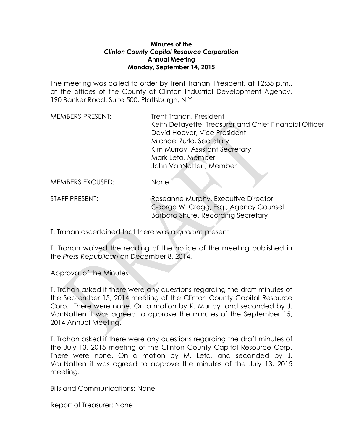#### **Minutes of the**  *Clinton County Capital Resource Corporation* **Annual Meeting Monday, September 14, 2015**

The meeting was called to order by Trent Trahan, President, at 12:35 p.m., at the offices of the County of Clinton Industrial Development Agency, 190 Banker Road, Suite 500, Plattsburgh, N.Y.

| <b>MEMBERS PRESENT:</b> | Trent Trahan, President                                |
|-------------------------|--------------------------------------------------------|
|                         | Keith Defayette, Treasurer and Chief Financial Officer |
|                         | David Hoover, Vice President                           |
|                         | Michael Zurlo, Secretary                               |
|                         | Kim Murray, Assistant Secretary                        |
|                         | Mark Leta, Member                                      |
|                         | John VanNatten, Member                                 |
|                         |                                                        |
| <b>MEMBERS EXCUSED:</b> | None                                                   |

STAFF PRESENT: Roseanne Murphy, Executive Director George W. Cregg, Esq., Agency Counsel Barbara Shute, Recording Secretary

T. Trahan ascertained that there was a *quorum* present.

T. Trahan waived the reading of the notice of the meeting published in the *Press-Republican* on December 8, 2014.

# Approval of the Minutes

T. Trahan asked if there were any questions regarding the draft minutes of the September 15, 2014 meeting of the Clinton County Capital Resource Corp. There were none. On a motion by K. Murray, and seconded by J. VanNatten it was agreed to approve the minutes of the September 15, 2014 Annual Meeting.

T. Trahan asked if there were any questions regarding the draft minutes of the July 13, 2015 meeting of the Clinton County Capital Resource Corp. There were none. On a motion by M. Leta, and seconded by J. VanNatten it was agreed to approve the minutes of the July 13, 2015 meeting.

Bills and Communications: None

Report of Treasurer: None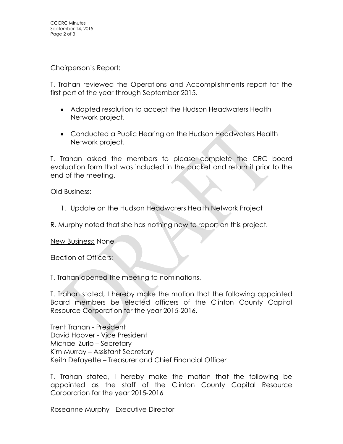### Chairperson's Report:

T. Trahan reviewed the Operations and Accomplishments report for the first part of the year through September 2015.

- Adopted resolution to accept the Hudson Headwaters Health Network project.
- Conducted a Public Hearing on the Hudson Headwaters Health Network project.

T. Trahan asked the members to please complete the CRC board evaluation form that was included in the packet and return it prior to the end of the meeting.

## Old Business:

- 1. Update on the Hudson Headwaters Health Network Project
- R. Murphy noted that she has nothing new to report on this project.

# New Business: None

# Election of Officers:

T. Trahan opened the meeting to nominations.

T. Trahan stated, I hereby make the motion that the following appointed Board members be elected officers of the Clinton County Capital Resource Corporation for the year 2015-2016.

Trent Trahan - President David Hoover - Vice President Michael Zurlo – Secretary Kim Murray – Assistant Secretary Keith Defayette – Treasurer and Chief Financial Officer

T. Trahan stated, I hereby make the motion that the following be appointed as the staff of the Clinton County Capital Resource Corporation for the year 2015-2016

Roseanne Murphy - Executive Director